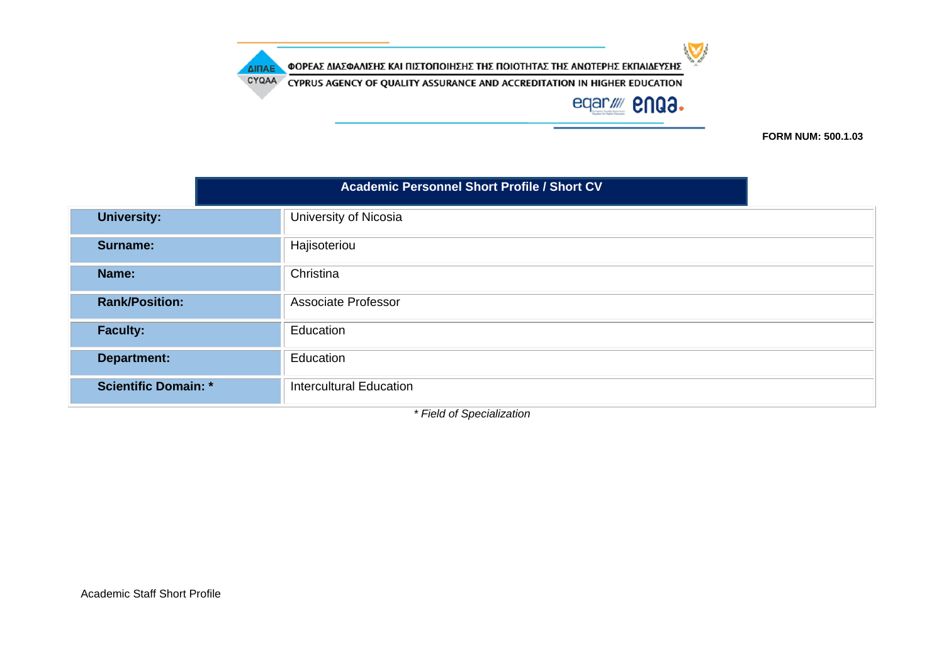CYQAA CYPRUS AGENCY OF QUALITY ASSURANCE AND ACCREDITATION IN HIGHER EDUCATION

ΔΙΠΑΕ



 $\sum$ 

**FORM NUM: 500.1.03**

|                             | <b>Academic Personnel Short Profile / Short CV</b> |
|-----------------------------|----------------------------------------------------|
| <b>University:</b>          | University of Nicosia                              |
| Surname:                    | Hajisoteriou                                       |
| Name:                       | Christina                                          |
| <b>Rank/Position:</b>       | <b>Associate Professor</b>                         |
| <b>Faculty:</b>             | Education                                          |
| <b>Department:</b>          | Education                                          |
| <b>Scientific Domain: *</b> | <b>Intercultural Education</b>                     |

*\* Field of Specialization*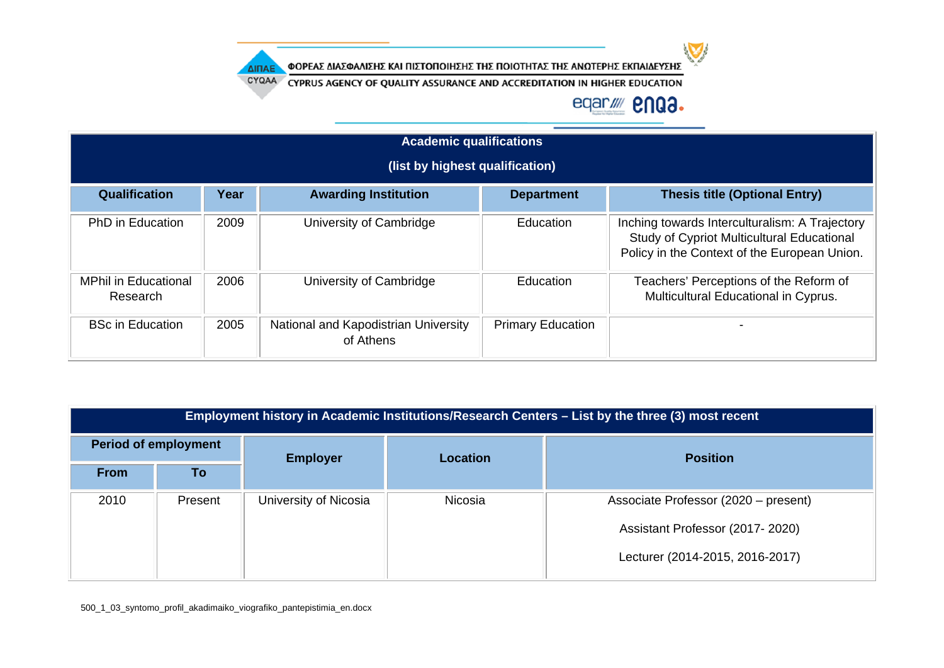

CYQAA CYPRUS AGENCY OF QUALITY ASSURANCE AND ACCREDITATION IN HIGHER EDUCATION

### eqar/ **2003.**

|                                         | <b>Academic qualifications</b> |                                                   |                          |                                                                                                                                                     |  |  |
|-----------------------------------------|--------------------------------|---------------------------------------------------|--------------------------|-----------------------------------------------------------------------------------------------------------------------------------------------------|--|--|
|                                         |                                | (list by highest qualification)                   |                          |                                                                                                                                                     |  |  |
| Qualification                           | Year                           | <b>Awarding Institution</b>                       | <b>Department</b>        | <b>Thesis title (Optional Entry)</b>                                                                                                                |  |  |
| PhD in Education                        | 2009                           | University of Cambridge                           | Education                | Inching towards Interculturalism: A Trajectory<br><b>Study of Cypriot Multicultural Educational</b><br>Policy in the Context of the European Union. |  |  |
| <b>MPhil in Educational</b><br>Research | 2006                           | University of Cambridge                           | Education                | Teachers' Perceptions of the Reform of<br>Multicultural Educational in Cyprus.                                                                      |  |  |
| <b>BSc in Education</b>                 | 2005                           | National and Kapodistrian University<br>of Athens | <b>Primary Education</b> |                                                                                                                                                     |  |  |

|             | Employment history in Academic Institutions/Research Centers – List by the three (3) most recent |                       |                 |                                      |  |
|-------------|--------------------------------------------------------------------------------------------------|-----------------------|-----------------|--------------------------------------|--|
|             | <b>Period of employment</b>                                                                      | <b>Employer</b>       | <b>Location</b> | <b>Position</b>                      |  |
| <b>From</b> | To                                                                                               |                       |                 |                                      |  |
| 2010        | Present                                                                                          | University of Nicosia | Nicosia         | Associate Professor (2020 – present) |  |
|             |                                                                                                  |                       |                 | Assistant Professor (2017-2020)      |  |
|             |                                                                                                  |                       |                 | Lecturer (2014-2015, 2016-2017)      |  |

500\_1\_03\_syntomo\_profil\_akadimaiko\_viografiko\_pantepistimia\_en.docx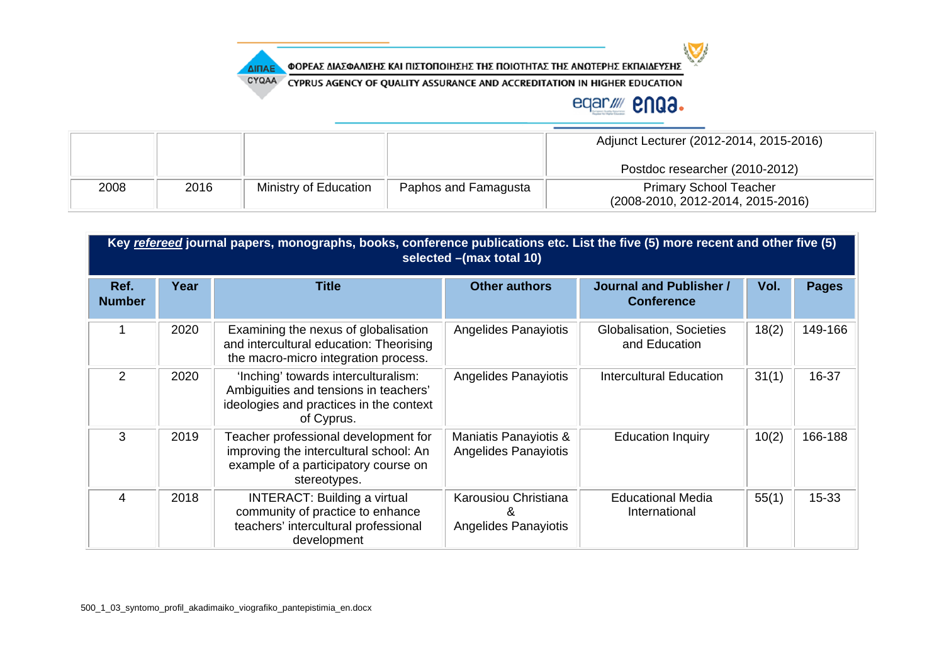

CYQAA CYPRUS AGENCY OF QUALITY ASSURANCE AND ACCREDITATION IN HIGHER EDUCATION

### eqar//// **2NQ3.**

|      |      |                       |                      | Adjunct Lecturer (2012-2014, 2015-2016)                            |
|------|------|-----------------------|----------------------|--------------------------------------------------------------------|
|      |      |                       |                      | Postdoc researcher (2010-2012)                                     |
| 2008 | 2016 | Ministry of Education | Paphos and Famagusta | <b>Primary School Teacher</b><br>(2008-2010, 2012-2014, 2015-2016) |

|                       | Key refereed journal papers, monographs, books, conference publications etc. List the five (5) more recent and other five (5)<br>selected -(max total 10) |                                                                                                                                        |                                               |                                              |       |              |  |
|-----------------------|-----------------------------------------------------------------------------------------------------------------------------------------------------------|----------------------------------------------------------------------------------------------------------------------------------------|-----------------------------------------------|----------------------------------------------|-------|--------------|--|
| Ref.<br><b>Number</b> | Year                                                                                                                                                      | <b>Title</b>                                                                                                                           | <b>Other authors</b>                          | Journal and Publisher /<br><b>Conference</b> | Vol.  | <b>Pages</b> |  |
|                       | 2020                                                                                                                                                      | Examining the nexus of globalisation<br>and intercultural education: Theorising<br>the macro-micro integration process.                | Angelides Panayiotis                          | Globalisation, Societies<br>and Education    | 18(2) | 149-166      |  |
| 2                     | 2020                                                                                                                                                      | 'Inching' towards interculturalism:<br>Ambiguities and tensions in teachers'<br>ideologies and practices in the context<br>of Cyprus.  | Angelides Panayiotis                          | Intercultural Education                      | 31(1) | 16-37        |  |
| 3                     | 2019                                                                                                                                                      | Teacher professional development for<br>improving the intercultural school: An<br>example of a participatory course on<br>stereotypes. | Maniatis Panayiotis &<br>Angelides Panayiotis | <b>Education Inquiry</b>                     | 10(2) | 166-188      |  |
| 4                     | 2018                                                                                                                                                      | <b>INTERACT: Building a virtual</b><br>community of practice to enhance<br>teachers' intercultural professional<br>development         | Karousiou Christiana<br>Angelides Panayiotis  | <b>Educational Media</b><br>International    | 55(1) | $15 - 33$    |  |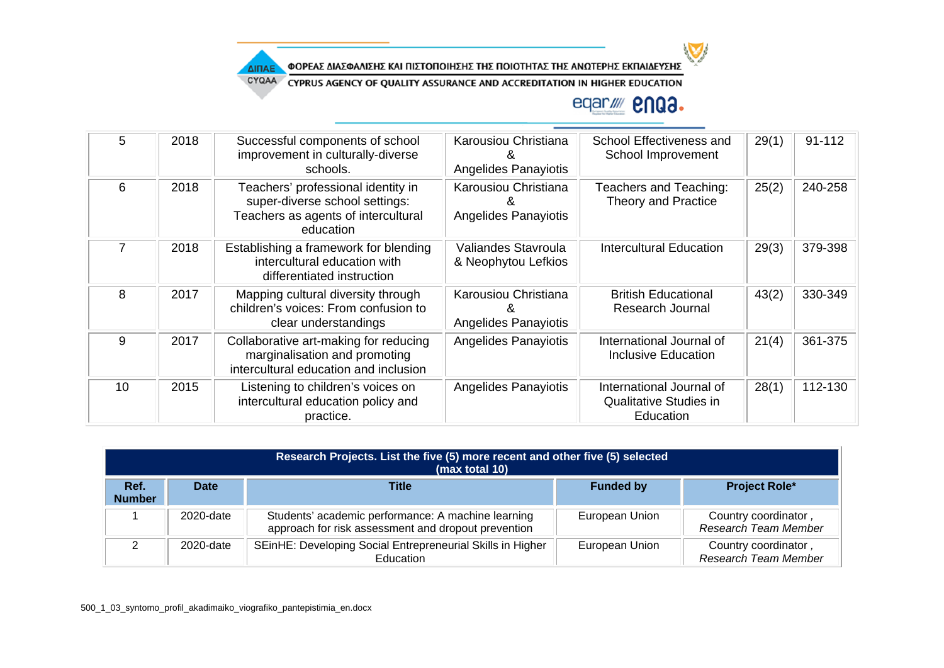

CYQAA CYPRUS AGENCY OF QUALITY ASSURANCE AND ACCREDITATION IN HIGHER EDUCATION

## eqar//// **2NQ3.**

 $\sum$ 

| 5  | 2018 | Successful components of school<br>improvement in culturally-diverse<br>schools.                                         | Karousiou Christiana<br><b>Angelides Panayiotis</b> | School Effectiveness and<br>School Improvement                         | 29(1) | 91-112  |
|----|------|--------------------------------------------------------------------------------------------------------------------------|-----------------------------------------------------|------------------------------------------------------------------------|-------|---------|
| 6  | 2018 | Teachers' professional identity in<br>super-diverse school settings:<br>Teachers as agents of intercultural<br>education | Karousiou Christiana<br>Angelides Panayiotis        | Teachers and Teaching:<br>Theory and Practice                          | 25(2) | 240-258 |
|    | 2018 | Establishing a framework for blending<br>intercultural education with<br>differentiated instruction                      | Valiandes Stavroula<br>& Neophytou Lefkios          | <b>Intercultural Education</b>                                         | 29(3) | 379-398 |
| 8  | 2017 | Mapping cultural diversity through<br>children's voices: From confusion to<br>clear understandings                       | Karousiou Christiana<br>Angelides Panayiotis        | <b>British Educational</b><br>Research Journal                         | 43(2) | 330-349 |
| 9  | 2017 | Collaborative art-making for reducing<br>marginalisation and promoting<br>intercultural education and inclusion          | <b>Angelides Panayiotis</b>                         | International Journal of<br><b>Inclusive Education</b>                 | 21(4) | 361-375 |
| 10 | 2015 | Listening to children's voices on<br>intercultural education policy and<br>practice.                                     | <b>Angelides Panayiotis</b>                         | International Journal of<br><b>Qualitative Studies in</b><br>Education | 28(1) | 112-130 |

|                       | Research Projects. List the five (5) more recent and other five (5) selected<br>(max total 10) |                                                                                                           |                  |                                              |  |  |  |
|-----------------------|------------------------------------------------------------------------------------------------|-----------------------------------------------------------------------------------------------------------|------------------|----------------------------------------------|--|--|--|
| Ref.<br><b>Number</b> | <b>Date</b>                                                                                    | <b>Title</b>                                                                                              | <b>Funded by</b> | <b>Project Role*</b>                         |  |  |  |
|                       | 2020-date                                                                                      | Students' academic performance: A machine learning<br>approach for risk assessment and dropout prevention | European Union   | Country coordinator,<br>Research Team Member |  |  |  |
|                       | 2020-date                                                                                      | SEinHE: Developing Social Entrepreneurial Skills in Higher<br>Education                                   | European Union   | Country coordinator,<br>Research Team Member |  |  |  |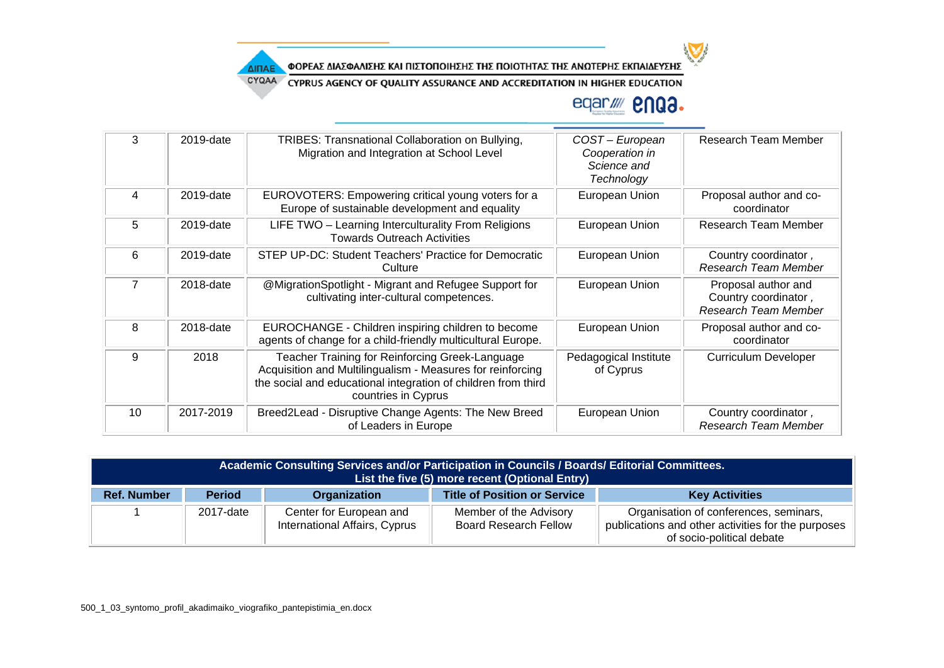

CYQAA CYPRUS AGENCY OF QUALITY ASSURANCE AND ACCREDITATION IN HIGHER EDUCATION

# eqar/ **2003.**

| 3  | 2019-date | TRIBES: Transnational Collaboration on Bullying,<br>Migration and Integration at School Level                                                                                                         | COST-European<br>Cooperation in<br>Science and<br>Technology | Research Team Member                                                       |
|----|-----------|-------------------------------------------------------------------------------------------------------------------------------------------------------------------------------------------------------|--------------------------------------------------------------|----------------------------------------------------------------------------|
| 4  | 2019-date | EUROVOTERS: Empowering critical young voters for a<br>Europe of sustainable development and equality                                                                                                  | European Union                                               | Proposal author and co-<br>coordinator                                     |
| 5  | 2019-date | LIFE TWO - Learning Interculturality From Religions<br><b>Towards Outreach Activities</b>                                                                                                             | European Union                                               | <b>Research Team Member</b>                                                |
| 6  | 2019-date | STEP UP-DC: Student Teachers' Practice for Democratic<br>Culture                                                                                                                                      | European Union                                               | Country coordinator,<br>Research Team Member                               |
| 7  | 2018-date | @MigrationSpotlight - Migrant and Refugee Support for<br>cultivating inter-cultural competences.                                                                                                      | European Union                                               | Proposal author and<br>Country coordinator,<br><b>Research Team Member</b> |
| 8  | 2018-date | EUROCHANGE - Children inspiring children to become<br>agents of change for a child-friendly multicultural Europe.                                                                                     | European Union                                               | Proposal author and co-<br>coordinator                                     |
| 9  | 2018      | Teacher Training for Reinforcing Greek-Language<br>Acquisition and Multilingualism - Measures for reinforcing<br>the social and educational integration of children from third<br>countries in Cyprus | Pedagogical Institute<br>of Cyprus                           | <b>Curriculum Developer</b>                                                |
| 10 | 2017-2019 | Breed2Lead - Disruptive Change Agents: The New Breed<br>of Leaders in Europe                                                                                                                          | European Union                                               | Country coordinator,<br>Research Team Member                               |

| Academic Consulting Services and/or Participation in Councils / Boards/ Editorial Committees.<br>List the five (5) more recent (Optional Entry) |               |                                                          |                                                        |                                                                                                                           |
|-------------------------------------------------------------------------------------------------------------------------------------------------|---------------|----------------------------------------------------------|--------------------------------------------------------|---------------------------------------------------------------------------------------------------------------------------|
| <b>Ref. Number</b>                                                                                                                              | <b>Period</b> | Organization                                             | <b>Title of Position or Service</b>                    | <b>Key Activities</b>                                                                                                     |
|                                                                                                                                                 | 2017-date     | Center for European and<br>International Affairs, Cyprus | Member of the Advisory<br><b>Board Research Fellow</b> | Organisation of conferences, seminars,<br>publications and other activities for the purposes<br>of socio-political debate |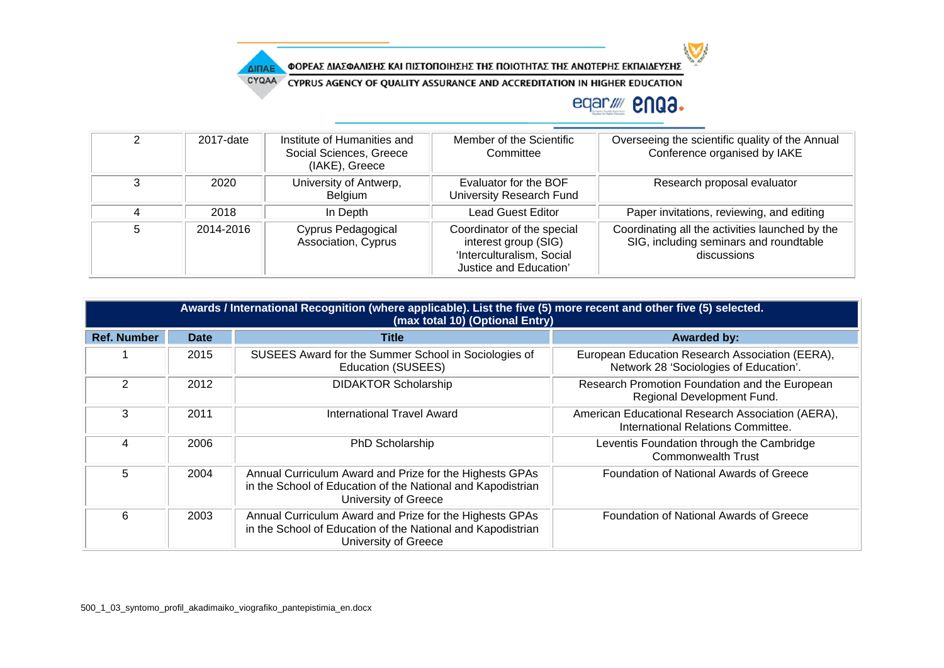

CYQAA CYPRUS AGENCY OF QUALITY ASSURANCE AND ACCREDITATION IN HIGHER EDUCATION

## eqar/ **2003.**

 $\sum$ 

| 2 | 2017-date | Institute of Humanities and<br>Social Sciences, Greece<br>(IAKE), Greece | Member of the Scientific<br>Committee                                                                     | Overseeing the scientific quality of the Annual<br>Conference organised by IAKE                          |
|---|-----------|--------------------------------------------------------------------------|-----------------------------------------------------------------------------------------------------------|----------------------------------------------------------------------------------------------------------|
| 3 | 2020      | University of Antwerp,<br>Belgium                                        | Evaluator for the BOF<br>University Research Fund                                                         | Research proposal evaluator                                                                              |
| 4 | 2018      | In Depth                                                                 | Lead Guest Editor                                                                                         | Paper invitations, reviewing, and editing                                                                |
| 5 | 2014-2016 | Cyprus Pedagogical<br>Association, Cyprus                                | Coordinator of the special<br>interest group (SIG)<br>'Interculturalism, Social<br>Justice and Education' | Coordinating all the activities launched by the<br>SIG, including seminars and roundtable<br>discussions |

|                    | Awards / International Recognition (where applicable). List the five (5) more recent and other five (5) selected.<br>(max total 10) (Optional Entry) |                                                                                                                                                |                                                                                           |  |  |  |
|--------------------|------------------------------------------------------------------------------------------------------------------------------------------------------|------------------------------------------------------------------------------------------------------------------------------------------------|-------------------------------------------------------------------------------------------|--|--|--|
| <b>Ref. Number</b> | <b>Date</b>                                                                                                                                          | <b>Title</b>                                                                                                                                   | <b>Awarded by:</b>                                                                        |  |  |  |
|                    | 2015                                                                                                                                                 | SUSEES Award for the Summer School in Sociologies of<br>Education (SUSEES)                                                                     | European Education Research Association (EERA),<br>Network 28 'Sociologies of Education'. |  |  |  |
| 2                  | 2012                                                                                                                                                 | <b>DIDAKTOR Scholarship</b><br>Research Promotion Foundation and the European<br>Regional Development Fund.                                    |                                                                                           |  |  |  |
| 3                  | 2011                                                                                                                                                 | International Travel Award                                                                                                                     | American Educational Research Association (AERA),<br>International Relations Committee.   |  |  |  |
| 4                  | 2006                                                                                                                                                 | PhD Scholarship                                                                                                                                | Leventis Foundation through the Cambridge<br><b>Commonwealth Trust</b>                    |  |  |  |
| 5                  | 2004                                                                                                                                                 | Annual Curriculum Award and Prize for the Highests GPAs<br>in the School of Education of the National and Kapodistrian<br>University of Greece | Foundation of National Awards of Greece                                                   |  |  |  |
| 6                  | 2003                                                                                                                                                 | Annual Curriculum Award and Prize for the Highests GPAs<br>in the School of Education of the National and Kapodistrian<br>University of Greece | Foundation of National Awards of Greece                                                   |  |  |  |